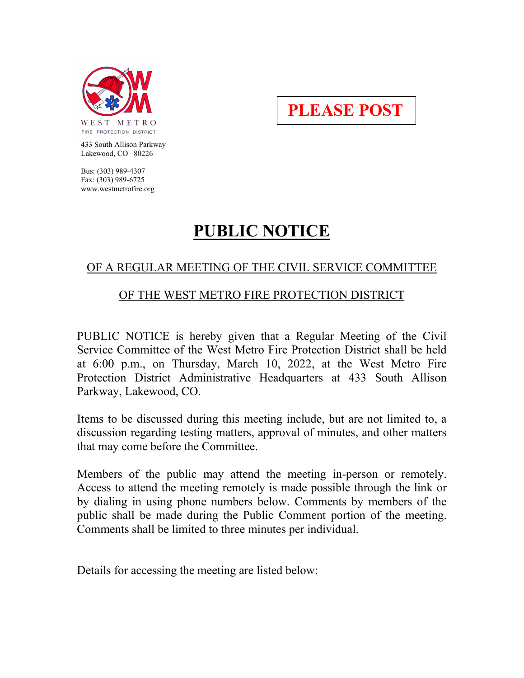

**PLEASE POST**

 433 South Allison Parkway Lakewood, CO 80226

 Bus: (303) 989-4307 Fax: (303) 989-6725 www.westmetrofire.org

## **PUBLIC NOTICE**

## OF A REGULAR MEETING OF THE CIVIL SERVICE COMMITTEE

## OF THE WEST METRO FIRE PROTECTION DISTRICT

PUBLIC NOTICE is hereby given that a Regular Meeting of the Civil Service Committee of the West Metro Fire Protection District shall be held at 6:00 p.m., on Thursday, March 10, 2022, at the West Metro Fire Protection District Administrative Headquarters at 433 South Allison Parkway, Lakewood, CO.

Items to be discussed during this meeting include, but are not limited to, a discussion regarding testing matters, approval of minutes, and other matters that may come before the Committee.

Members of the public may attend the meeting in-person or remotely. Access to attend the meeting remotely is made possible through the link or by dialing in using phone numbers below. Comments by members of the public shall be made during the Public Comment portion of the meeting. Comments shall be limited to three minutes per individual.

Details for accessing the meeting are listed below: